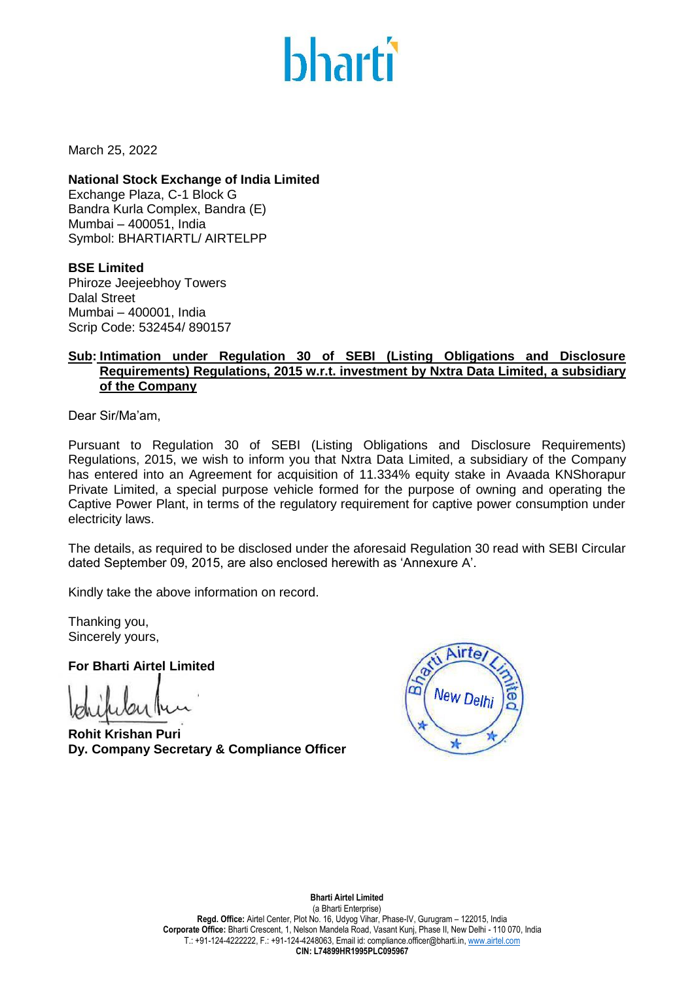

March 25, 2022

**National Stock Exchange of India Limited** Exchange Plaza, C-1 Block G Bandra Kurla Complex, Bandra (E) Mumbai – 400051, India Symbol: BHARTIARTL/ AIRTELPP

**BSE Limited** Phiroze Jeejeebhoy Towers Dalal Street Mumbai – 400001, India Scrip Code: 532454/ 890157

## **Sub: Intimation under Regulation 30 of SEBI (Listing Obligations and Disclosure Requirements) Regulations, 2015 w.r.t. investment by Nxtra Data Limited, a subsidiary of the Company**

Dear Sir/Ma'am,

Pursuant to Regulation 30 of SEBI (Listing Obligations and Disclosure Requirements) Regulations, 2015, we wish to inform you that Nxtra Data Limited, a subsidiary of the Company has entered into an Agreement for acquisition of 11.334% equity stake in Avaada KNShorapur Private Limited, a special purpose vehicle formed for the purpose of owning and operating the Captive Power Plant, in terms of the regulatory requirement for captive power consumption under electricity laws.

The details, as required to be disclosed under the aforesaid Regulation 30 read with SEBI Circular dated September 09, 2015, are also enclosed herewith as 'Annexure A'.

Kindly take the above information on record.

Thanking you, Sincerely yours,

**For Bharti Airtel Limited**

**Rohit Krishan Puri Dy. Company Secretary & Compliance Officer**



### **Bharti Airtel Limited**

(a Bharti Enterprise) **Regd. Office:** Airtel Center, Plot No. 16, Udyog Vihar, Phase-IV, Gurugram – 122015, India **Corporate Office:** Bharti Crescent, 1, Nelson Mandela Road, Vasant Kunj, Phase II, New Delhi - 110 070, India T.: +91-124-4222222, F.: +91-124-4248063, Email id: compliance.officer@bharti.in[, www.airtel.com](http://www.airtel.com/) **CIN: L74899HR1995PLC095967**